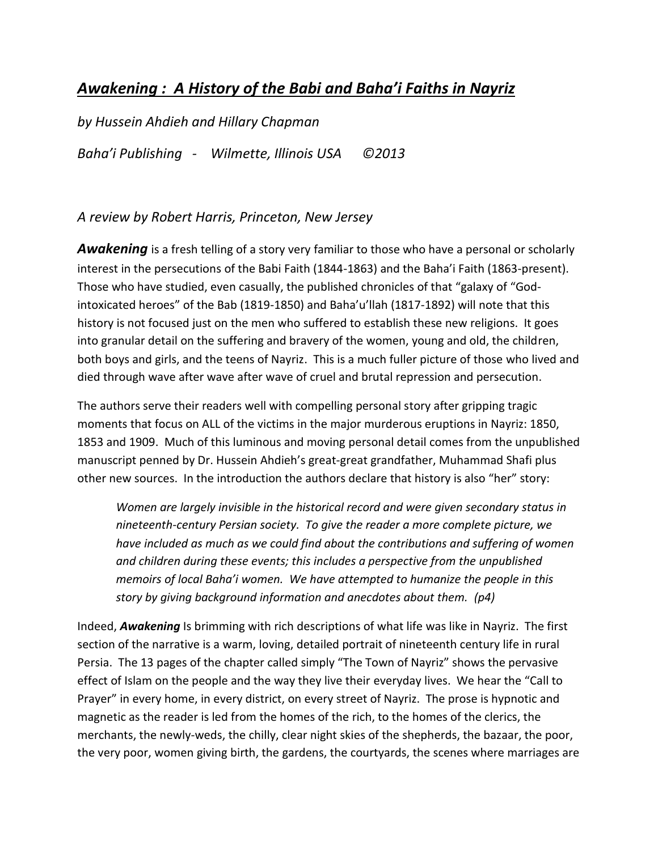## *Awakening : A History of the Babi and Baha'i Faiths in Nayriz*

*by Hussein Ahdieh and Hillary Chapman Baha'i Publishing - Wilmette, Illinois USA ©2013*

## *A review by Robert Harris, Princeton, New Jersey*

Awakening is a fresh telling of a story very familiar to those who have a personal or scholarly interest in the persecutions of the Babi Faith (1844-1863) and the Baha'i Faith (1863-present). Those who have studied, even casually, the published chronicles of that "galaxy of "Godintoxicated heroes" of the Bab (1819-1850) and Baha'u'llah (1817-1892) will note that this history is not focused just on the men who suffered to establish these new religions. It goes into granular detail on the suffering and bravery of the women, young and old, the children, both boys and girls, and the teens of Nayriz. This is a much fuller picture of those who lived and died through wave after wave after wave of cruel and brutal repression and persecution.

The authors serve their readers well with compelling personal story after gripping tragic moments that focus on ALL of the victims in the major murderous eruptions in Nayriz: 1850, 1853 and 1909. Much of this luminous and moving personal detail comes from the unpublished manuscript penned by Dr. Hussein Ahdieh's great-great grandfather, Muhammad Shafi plus other new sources. In the introduction the authors declare that history is also "her" story:

*Women are largely invisible in the historical record and were given secondary status in nineteenth-century Persian society. To give the reader a more complete picture, we have included as much as we could find about the contributions and suffering of women and children during these events; this includes a perspective from the unpublished memoirs of local Baha'i women. We have attempted to humanize the people in this story by giving background information and anecdotes about them. (p4)*

Indeed, *Awakening* Is brimming with rich descriptions of what life was like in Nayriz. The first section of the narrative is a warm, loving, detailed portrait of nineteenth century life in rural Persia. The 13 pages of the chapter called simply "The Town of Nayriz" shows the pervasive effect of Islam on the people and the way they live their everyday lives. We hear the "Call to Prayer" in every home, in every district, on every street of Nayriz. The prose is hypnotic and magnetic as the reader is led from the homes of the rich, to the homes of the clerics, the merchants, the newly-weds, the chilly, clear night skies of the shepherds, the bazaar, the poor, the very poor, women giving birth, the gardens, the courtyards, the scenes where marriages are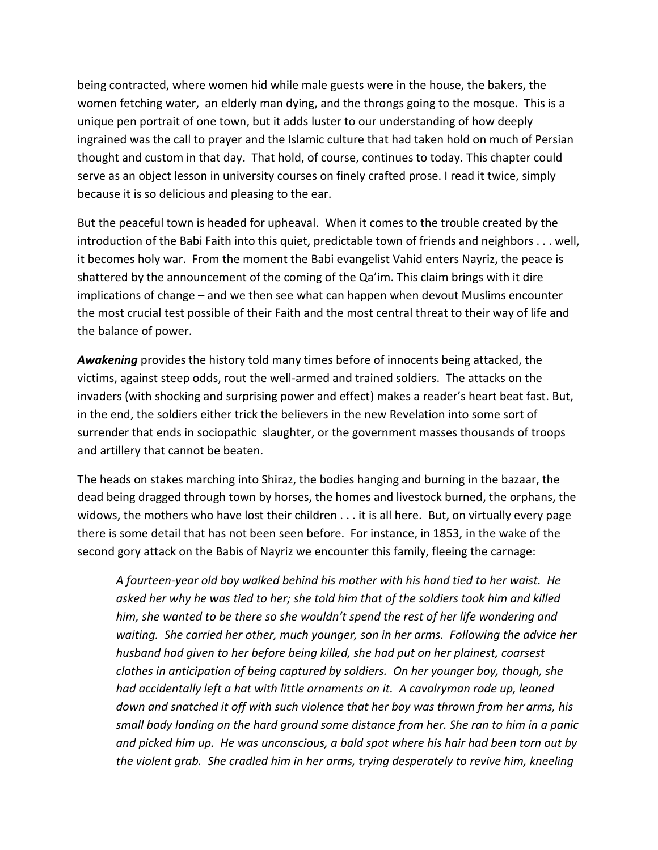being contracted, where women hid while male guests were in the house, the bakers, the women fetching water, an elderly man dying, and the throngs going to the mosque. This is a unique pen portrait of one town, but it adds luster to our understanding of how deeply ingrained was the call to prayer and the Islamic culture that had taken hold on much of Persian thought and custom in that day. That hold, of course, continues to today. This chapter could serve as an object lesson in university courses on finely crafted prose. I read it twice, simply because it is so delicious and pleasing to the ear.

But the peaceful town is headed for upheaval. When it comes to the trouble created by the introduction of the Babi Faith into this quiet, predictable town of friends and neighbors . . . well, it becomes holy war. From the moment the Babi evangelist Vahid enters Nayriz, the peace is shattered by the announcement of the coming of the Qa'im. This claim brings with it dire implications of change – and we then see what can happen when devout Muslims encounter the most crucial test possible of their Faith and the most central threat to their way of life and the balance of power.

*Awakening* provides the history told many times before of innocents being attacked, the victims, against steep odds, rout the well-armed and trained soldiers. The attacks on the invaders (with shocking and surprising power and effect) makes a reader's heart beat fast. But, in the end, the soldiers either trick the believers in the new Revelation into some sort of surrender that ends in sociopathic slaughter, or the government masses thousands of troops and artillery that cannot be beaten.

The heads on stakes marching into Shiraz, the bodies hanging and burning in the bazaar, the dead being dragged through town by horses, the homes and livestock burned, the orphans, the widows, the mothers who have lost their children . . . it is all here. But, on virtually every page there is some detail that has not been seen before. For instance, in 1853, in the wake of the second gory attack on the Babis of Nayriz we encounter this family, fleeing the carnage:

*A fourteen-year old boy walked behind his mother with his hand tied to her waist. He asked her why he was tied to her; she told him that of the soldiers took him and killed him, she wanted to be there so she wouldn't spend the rest of her life wondering and waiting. She carried her other, much younger, son in her arms. Following the advice her husband had given to her before being killed, she had put on her plainest, coarsest clothes in anticipation of being captured by soldiers. On her younger boy, though, she had accidentally left a hat with little ornaments on it. A cavalryman rode up, leaned down and snatched it off with such violence that her boy was thrown from her arms, his small body landing on the hard ground some distance from her. She ran to him in a panic and picked him up. He was unconscious, a bald spot where his hair had been torn out by the violent grab. She cradled him in her arms, trying desperately to revive him, kneeling*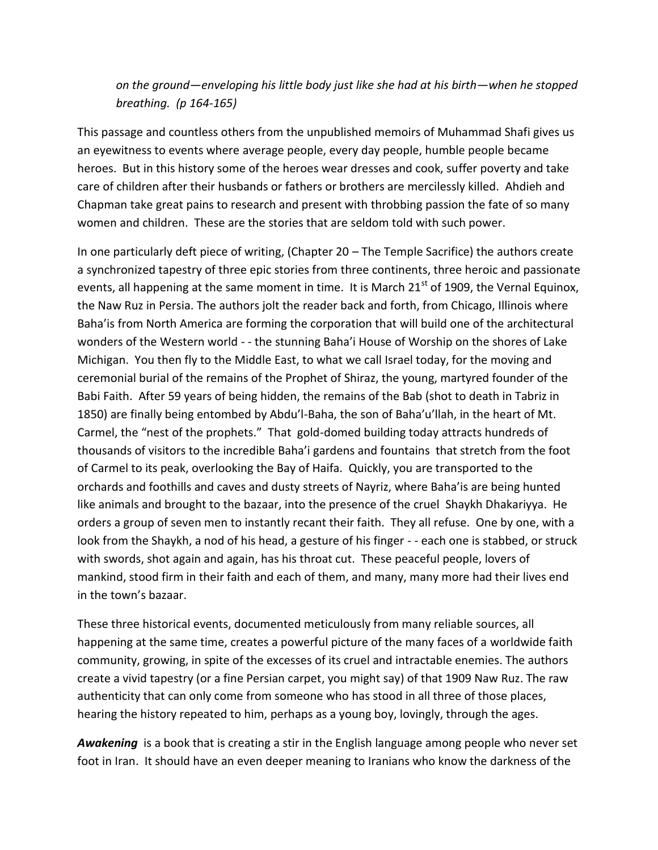## *on the ground—enveloping his little body just like she had at his birth—when he stopped breathing. (p 164-165)*

This passage and countless others from the unpublished memoirs of Muhammad Shafi gives us an eyewitness to events where average people, every day people, humble people became heroes. But in this history some of the heroes wear dresses and cook, suffer poverty and take care of children after their husbands or fathers or brothers are mercilessly killed. Ahdieh and Chapman take great pains to research and present with throbbing passion the fate of so many women and children. These are the stories that are seldom told with such power.

In one particularly deft piece of writing, (Chapter 20 – The Temple Sacrifice) the authors create a synchronized tapestry of three epic stories from three continents, three heroic and passionate events, all happening at the same moment in time. It is March  $21<sup>st</sup>$  of 1909, the Vernal Equinox, the Naw Ruz in Persia. The authors jolt the reader back and forth, from Chicago, Illinois where Baha'is from North America are forming the corporation that will build one of the architectural wonders of the Western world - - the stunning Baha'i House of Worship on the shores of Lake Michigan. You then fly to the Middle East, to what we call Israel today, for the moving and ceremonial burial of the remains of the Prophet of Shiraz, the young, martyred founder of the Babi Faith. After 59 years of being hidden, the remains of the Bab (shot to death in Tabriz in 1850) are finally being entombed by Abdu'l-Baha, the son of Baha'u'llah, in the heart of Mt. Carmel, the "nest of the prophets." That gold-domed building today attracts hundreds of thousands of visitors to the incredible Baha'i gardens and fountains that stretch from the foot of Carmel to its peak, overlooking the Bay of Haifa. Quickly, you are transported to the orchards and foothills and caves and dusty streets of Nayriz, where Baha'is are being hunted like animals and brought to the bazaar, into the presence of the cruel Shaykh Dhakariyya. He orders a group of seven men to instantly recant their faith. They all refuse. One by one, with a look from the Shaykh, a nod of his head, a gesture of his finger - - each one is stabbed, or struck with swords, shot again and again, has his throat cut. These peaceful people, lovers of mankind, stood firm in their faith and each of them, and many, many more had their lives end in the town's bazaar.

These three historical events, documented meticulously from many reliable sources, all happening at the same time, creates a powerful picture of the many faces of a worldwide faith community, growing, in spite of the excesses of its cruel and intractable enemies. The authors create a vivid tapestry (or a fine Persian carpet, you might say) of that 1909 Naw Ruz. The raw authenticity that can only come from someone who has stood in all three of those places, hearing the history repeated to him, perhaps as a young boy, lovingly, through the ages.

*Awakening* is a book that is creating a stir in the English language among people who never set foot in Iran. It should have an even deeper meaning to Iranians who know the darkness of the